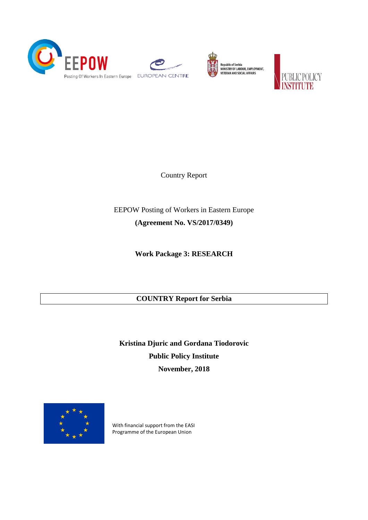





Republic of Serbia<br>MINISTRY OF LABOUR, EMPLOYMENT,<br>VETERAN AND SOCIAL AFFAIRS



Country Report

EEPOW Posting of Workers in Eastern Europe **(Agreement No. VS/2017/0349)**

**Work Package 3: RESEARCH**

## **COUNTRY Report for Serbia**

**Kristina Djuric and Gordana Tiodorovic Public Policy Institute November, 2018**



With financial support from the EASI Programme of the European Union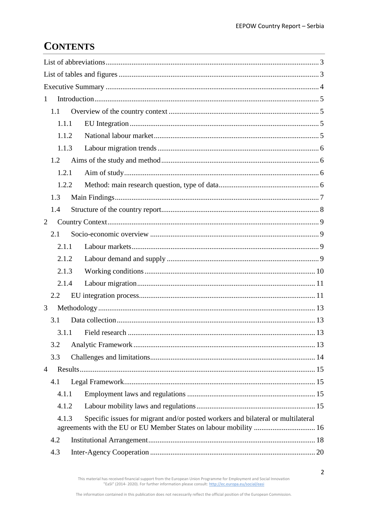# **CONTENTS**

| $\mathbf{1}$   |                                                                                 |  |  |  |  |
|----------------|---------------------------------------------------------------------------------|--|--|--|--|
| 1.1            |                                                                                 |  |  |  |  |
| 1.1.1          |                                                                                 |  |  |  |  |
| 1.1.2          |                                                                                 |  |  |  |  |
| 1.1.3          |                                                                                 |  |  |  |  |
| 1.2            |                                                                                 |  |  |  |  |
| 1.2.1          |                                                                                 |  |  |  |  |
| 1.2.2          |                                                                                 |  |  |  |  |
| 1.3            |                                                                                 |  |  |  |  |
| 1.4            |                                                                                 |  |  |  |  |
| 2              |                                                                                 |  |  |  |  |
| 2.1            |                                                                                 |  |  |  |  |
| 2.1.1          |                                                                                 |  |  |  |  |
| 2.1.2          |                                                                                 |  |  |  |  |
| 2.1.3          |                                                                                 |  |  |  |  |
| 2.1.4          |                                                                                 |  |  |  |  |
| 2.2            |                                                                                 |  |  |  |  |
| 3              |                                                                                 |  |  |  |  |
| 3.1            |                                                                                 |  |  |  |  |
|                | 3.1.1 Field research<br>13                                                      |  |  |  |  |
| 3.2            |                                                                                 |  |  |  |  |
| 3.3            |                                                                                 |  |  |  |  |
| $\overline{4}$ |                                                                                 |  |  |  |  |
| 4.1            |                                                                                 |  |  |  |  |
| 4.1.1          |                                                                                 |  |  |  |  |
| 4.1.2          |                                                                                 |  |  |  |  |
| 4.1.3          | Specific issues for migrant and/or posted workers and bilateral or multilateral |  |  |  |  |
|                | agreements with the EU or EU Member States on labour mobility  16               |  |  |  |  |
| 4.2            |                                                                                 |  |  |  |  |
| 4.3            |                                                                                 |  |  |  |  |

This material has received financial support from the European Union Programme for Employment and Social Innovation "EaSI" (2014-2020). For further information please consult: http://ec.europa.eu/social/easi

 $\overline{2}$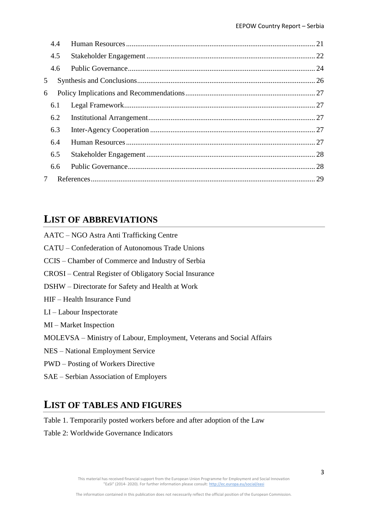|   | 4.4 |  |
|---|-----|--|
|   | 4.5 |  |
|   | 4.6 |  |
| 5 |     |  |
| 6 |     |  |
|   | 6.1 |  |
|   | 6.2 |  |
|   | 6.3 |  |
|   | 6.4 |  |
|   | 6.5 |  |
|   | 6.6 |  |
| 7 |     |  |
|   |     |  |

## <span id="page-2-0"></span>**LIST OF ABBREVIATIONS**

| AATC - NGO Astra Anti Trafficking Centre                              |
|-----------------------------------------------------------------------|
| CATU – Confederation of Autonomous Trade Unions                       |
| CCIS – Chamber of Commerce and Industry of Serbia                     |
| CROSI – Central Register of Obligatory Social Insurance               |
| DSHW – Directorate for Safety and Health at Work                      |
| HIF – Health Insurance Fund                                           |
| $LI -$ Labour Inspectorate                                            |
| $MI$ – Market Inspection                                              |
| MOLEVSA – Ministry of Labour, Employment, Veterans and Social Affairs |
| NES – National Employment Service                                     |
| <b>PWD</b> – Posting of Workers Directive                             |
| SAE – Serbian Association of Employers                                |

## <span id="page-2-1"></span>**LIST OF TABLES AND FIGURES**

Table 1. Temporarily posted workers before and after adoption of the Law

Table 2: Worldwide Governance Indicators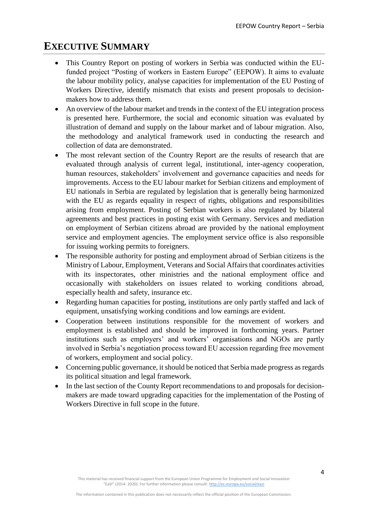## <span id="page-3-0"></span>**EXECUTIVE SUMMARY**

- This Country Report on posting of workers in Serbia was conducted within the EUfunded project "Posting of workers in Eastern Europe" (EEPOW). It aims to evaluate the labour mobility policy, analyse capacities for implementation of the EU Posting of Workers Directive, identify mismatch that exists and present proposals to decisionmakers how to address them.
- An overview of the labour market and trends in the context of the EU integration process is presented here. Furthermore, the social and economic situation was evaluated by illustration of demand and supply on the labour market and of labour migration. Also, the methodology and analytical framework used in conducting the research and collection of data are demonstrated.
- The most relevant section of the Country Report are the results of research that are evaluated through analysis of current legal, institutional, inter-agency cooperation, human resources, stakeholders' involvement and governance capacities and needs for improvements. Access to the EU labour market for Serbian citizens and employment of EU nationals in Serbia are regulated by legislation that is generally being harmonized with the EU as regards equality in respect of rights, obligations and responsibilities arising from employment. Posting of Serbian workers is also regulated by bilateral agreements and best practices in posting exist with Germany. Services and mediation on employment of Serbian citizens abroad are provided by the national employment service and employment agencies. The employment service office is also responsible for issuing working permits to foreigners.
- The responsible authority for posting and employment abroad of Serbian citizens is the Ministry of Labour, Employment, Veterans and Social Affairs that coordinates activities with its inspectorates, other ministries and the national employment office and occasionally with stakeholders on issues related to working conditions abroad, especially health and safety, insurance etc.
- Regarding human capacities for posting, institutions are only partly staffed and lack of equipment, unsatisfying working conditions and low earnings are evident.
- Cooperation between institutions responsible for the movement of workers and employment is established and should be improved in forthcoming years. Partner institutions such as employers' and workers' organisations and NGOs are partly involved in Serbia's negotiation process toward EU accession regarding free movement of workers, employment and social policy.
- Concerning public governance, it should be noticed that Serbia made progress as regards its political situation and legal framework.
- In the last section of the County Report recommendations to and proposals for decisionmakers are made toward upgrading capacities for the implementation of the Posting of Workers Directive in full scope in the future.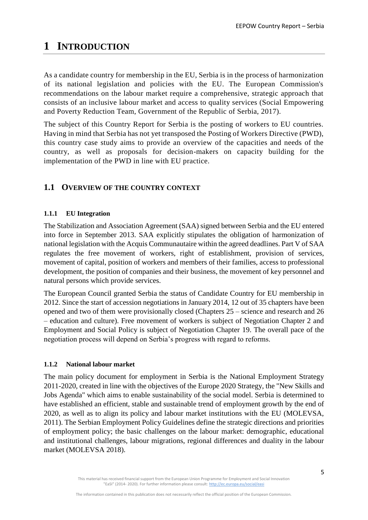# <span id="page-4-0"></span>**1 INTRODUCTION**

As a candidate country for membership in the EU, Serbia is in the process of harmonization of its national legislation and policies with the EU. The European Commission's recommendations on the labour market require a comprehensive, strategic approach that consists of an inclusive labour market and access to quality services (Social Empowering and Poverty Reduction Team, Government of the Republic of Serbia, 2017).

The subject of this Country Report for Serbia is the posting of workers to EU countries. Having in mind that Serbia has not yet transposed the Posting of Workers Directive (PWD), this country case study aims to provide an overview of the capacities and needs of the country, as well as proposals for decision-makers on capacity building for the implementation of the PWD in line with EU practice.

## <span id="page-4-1"></span>**1.1 OVERVIEW OF THE COUNTRY CONTEXT**

#### <span id="page-4-2"></span>**1.1.1 EU Integration**

The Stabilization and Association Agreement (SAA) signed between Serbia and the EU entered into force in September 2013. SAA explicitly stipulates the obligation of harmonization of national legislation with the Acquis Communautaire within the agreed deadlines. Part V of SAA regulates the free movement of workers, right of establishment, provision of services, movement of capital, position of workers and members of their families, access to professional development, the position of companies and their business, the movement of key personnel and natural persons which provide services.

The European Council granted Serbia the status of Candidate Country for EU membership in 2012. Since the start of accession negotiations in January 2014, 12 out of 35 chapters have been opened and two of them were provisionally closed (Chapters 25 – science and research and 26 – education and culture). Free movement of workers is subject of Negotiation Chapter 2 and Employment and Social Policy is subject of Negotiation Chapter 19. The overall pace of the negotiation process will depend on Serbia's progress with regard to reforms.

#### <span id="page-4-3"></span>**1.1.2 National labour market**

The main policy document for employment in Serbia is the National Employment Strategy 2011-2020, created in line with the objectives of the Europe 2020 Strategy, the "New Skills and Jobs Agenda" which aims to enable sustainability of the social model. Serbia is determined to have established an efficient, stable and sustainable trend of employment growth by the end of 2020, as well as to align its policy and labour market institutions with the EU (MOLEVSA, 2011). The Serbian Employment Policy Guidelines define the strategic directions and priorities of employment policy; the basic challenges on the labour market: demographic, educational and institutional challenges, labour migrations, regional differences and duality in the labour market (MOLEVSA 2018).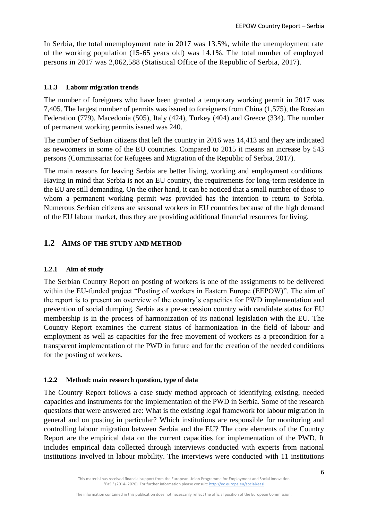In Serbia, the total unemployment rate in 2017 was 13.5%, while the unemployment rate of the working population (15-65 years old) was 14.1%. The total number of employed persons in 2017 was 2,062,588 (Statistical Office of the Republic of Serbia, 2017).

#### <span id="page-5-0"></span>**1.1.3 Labour migration trends**

The number of foreigners who have been granted a temporary working permit in 2017 was 7,405. The largest number of permits was issued to foreigners from China (1,575), the Russian Federation (779), Macedonia (505), Italy (424), Turkey (404) and Greece (334). The number of permanent working permits issued was 240.

The number of Serbian citizens that left the country in 2016 was 14,413 and they are indicated as newcomers in some of the EU countries. Compared to 2015 it means an increase by 543 persons (Commissariat for Refugees and Migration of the Republic of Serbia, 2017).

The main reasons for leaving Serbia are better living, working and employment conditions. Having in mind that Serbia is not an EU country, the requirements for long-term residence in the EU are still demanding. On the other hand, it can be noticed that a small number of those to whom a permanent working permit was provided has the intention to return to Serbia. Numerous Serbian citizens are seasonal workers in EU countries because of the high demand of the EU labour market, thus they are providing additional financial resources for living.

## <span id="page-5-1"></span>**1.2 AIMS OF THE STUDY AND METHOD**

#### <span id="page-5-2"></span>**1.2.1 Aim of study**

The Serbian Country Report on posting of workers is one of the assignments to be delivered within the EU-funded project "Posting of workers in Eastern Europe (EEPOW)". The aim of the report is to present an overview of the country's capacities for PWD implementation and prevention of social dumping. Serbia as a pre-accession country with candidate status for EU membership is in the process of harmonization of its national legislation with the EU. The Country Report examines the current status of harmonization in the field of labour and employment as well as capacities for the free movement of workers as a precondition for a transparent implementation of the PWD in future and for the creation of the needed conditions for the posting of workers.

#### <span id="page-5-3"></span>**1.2.2 Method: main research question, type of data**

The Country Report follows a case study method approach of identifying existing, needed capacities and instruments for the implementation of the PWD in Serbia. Some of the research questions that were answered are: What is the existing legal framework for labour migration in general and on posting in particular? Which institutions are responsible for monitoring and controlling labour migration between Serbia and the EU? The core elements of the Country Report are the empirical data on the current capacities for implementation of the PWD. It includes empirical data collected through interviews conducted with experts from national institutions involved in labour mobility. The interviews were conducted with 11 institutions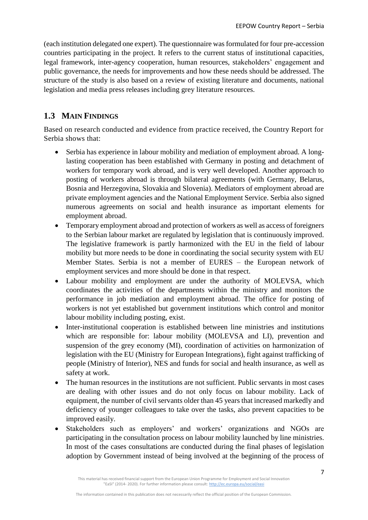(each institution delegated one expert). The questionnaire was formulated for four pre-accession countries participating in the project. It refers to the current status of institutional capacities, legal framework, inter-agency cooperation, human resources, stakeholders' engagement and public governance, the needs for improvements and how these needs should be addressed. The structure of the study is also based on a review of existing literature and documents, national legislation and media press releases including grey literature resources.

## <span id="page-6-0"></span>**1.3 MAIN FINDINGS**

Based on research conducted and evidence from practice received, the Country Report for Serbia shows that:

- Serbia has experience in labour mobility and mediation of employment abroad. A longlasting cooperation has been established with Germany in posting and detachment of workers for temporary work abroad, and is very well developed. Another approach to posting of workers abroad is through bilateral agreements (with Germany, Belarus, Bosnia and Herzegovina, Slovakia and Slovenia). Mediators of employment abroad are private employment agencies and the National Employment Service. Serbia also signed numerous agreements on social and health insurance as important elements for employment abroad.
- Temporary employment abroad and protection of workers as well as access of foreigners to the Serbian labour market are regulated by legislation that is continuously improved. The legislative framework is partly harmonized with the EU in the field of labour mobility but more needs to be done in coordinating the social security system with EU Member States. Serbia is not a member of EURES – the European network of employment services and more should be done in that respect.
- Labour mobility and employment are under the authority of MOLEVSA, which coordinates the activities of the departments within the ministry and monitors the performance in job mediation and employment abroad. The office for posting of workers is not yet established but government institutions which control and monitor labour mobility including posting, exist.
- Inter-institutional cooperation is established between line ministries and institutions which are responsible for: labour mobility (MOLEVSA and LI), prevention and suspension of the grey economy (MI), coordination of activities on harmonization of legislation with the EU (Ministry for European Integrations), fight against trafficking of people (Ministry of Interior), NES and funds for social and health insurance, as well as safety at work.
- The human resources in the institutions are not sufficient. Public servants in most cases are dealing with other issues and do not only focus on labour mobility. Lack of equipment, the number of civil servants older than 45 years that increased markedly and deficiency of younger colleagues to take over the tasks, also prevent capacities to be improved easily.
- Stakeholders such as employers' and workers' organizations and NGOs are participating in the consultation process on labour mobility launched by line ministries. In most of the cases consultations are conducted during the final phases of legislation adoption by Government instead of being involved at the beginning of the process of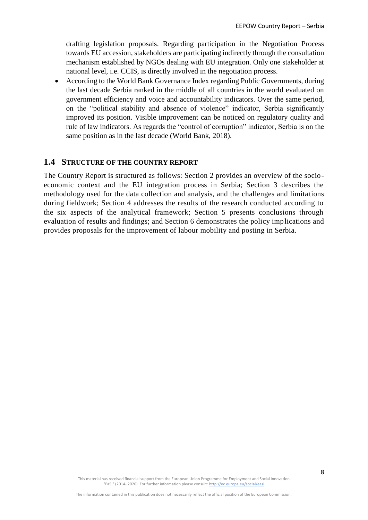drafting legislation proposals. Regarding participation in the Negotiation Process towards EU accession, stakeholders are participating indirectly through the consultation mechanism established by NGOs dealing with EU integration. Only one stakeholder at national level, i.e. CCIS, is directly involved in the negotiation process.

• According to the World Bank Governance Index regarding Public Governments, during the last decade Serbia ranked in the middle of all countries in the world evaluated on government efficiency and voice and accountability indicators. Over the same period, on the "political stability and absence of violence" indicator, Serbia significantly improved its position. Visible improvement can be noticed on regulatory quality and rule of law indicators. As regards the "control of corruption" indicator, Serbia is on the same position as in the last decade (World Bank, 2018).

#### <span id="page-7-0"></span>**1.4 STRUCTURE OF THE COUNTRY REPORT**

The Country Report is structured as follows: Section 2 provides an overview of the socioeconomic context and the EU integration process in Serbia; Section 3 describes the methodology used for the data collection and analysis, and the challenges and limitations during fieldwork; Section 4 addresses the results of the research conducted according to the six aspects of the analytical framework; Section 5 presents conclusions through evaluation of results and findings; and Section 6 demonstrates the policy implications and provides proposals for the improvement of labour mobility and posting in Serbia.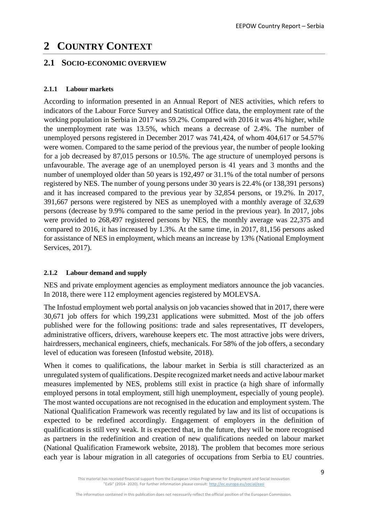# <span id="page-8-0"></span>**2 COUNTRY CONTEXT**

### <span id="page-8-1"></span>**2.1 SOCIO-ECONOMIC OVERVIEW**

#### <span id="page-8-2"></span>**2.1.1 Labour markets**

According to information presented in an Annual Report of NES activities, which refers to indicators of the Labour Force Survey and Statistical Office data, the employment rate of the working population in Serbia in 2017 was 59.2%. Compared with 2016 it was 4% higher, while the unemployment rate was 13.5%, which means a decrease of 2.4%. The number of unemployed persons registered in December 2017 was 741,424, of whom 404,617 or 54.57% were women. Compared to the same period of the previous year, the number of people looking for a job decreased by 87,015 persons or 10.5%. The age structure of unemployed persons is unfavourable. The average age of an unemployed person is 41 years and 3 months and the number of unemployed older than 50 years is 192,497 or 31.1% of the total number of persons registered by NES. The number of young persons under 30 years is 22.4% (or 138,391 persons) and it has increased compared to the previous year by 32,854 persons, or 19.2%. In 2017, 391,667 persons were registered by NES as unemployed with a monthly average of 32,639 persons (decrease by 9.9% compared to the same period in the previous year). In 2017, jobs were provided to 268,497 registered persons by NES, the monthly average was 22,375 and compared to 2016, it has increased by 1.3%. At the same time, in 2017, 81,156 persons asked for assistance of NES in employment, which means an increase by 13% (National Employment Services, 2017).

#### <span id="page-8-3"></span>**2.1.2 Labour demand and supply**

NES and private employment agencies as employment mediators announce the job vacancies. In 2018, there were 112 employment agencies registered by MOLEVSA.

The Infostud employment web portal analysis on job vacancies showed that in 2017, there were 30,671 job offers for which 199,231 applications were submitted. Most of the job offers published were for the following positions: trade and sales representatives, IT developers, administrative officers, drivers, warehouse keepers etc. The most attractive jobs were drivers, hairdressers, mechanical engineers, chiefs, mechanicals. For 58% of the job offers, a secondary level of education was foreseen (Infostud website, 2018).

When it comes to qualifications, the labour market in Serbia is still characterized as an unregulated system of qualifications. Despite recognized market needs and active labour market measures implemented by NES, problems still exist in practice (a high share of informally employed persons in total employment, still high unemployment, especially of young people). The most wanted occupations are not recognised in the education and employment system. The National Qualification Framework was recently regulated by law and its list of occupations is expected to be redefined accordingly. Engagement of employers in the definition of qualifications is still very weak. It is expected that, in the future, they will be more recognised as partners in the redefinition and creation of new qualifications needed on labour market (National Qualification Framework website, 2018). The problem that becomes more serious each year is labour migration in all categories of occupations from Serbia to EU countries.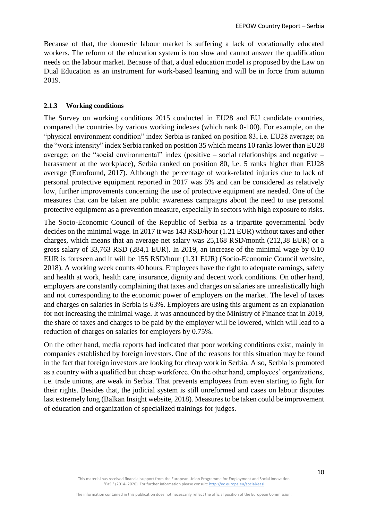Because of that, the domestic labour market is suffering a lack of vocationally educated workers. The reform of the education system is too slow and cannot answer the qualification needs on the labour market. Because of that, a dual education model is proposed by the Law on Dual Education as an instrument for work-based learning and will be in force from autumn 2019.

#### <span id="page-9-0"></span>**2.1.3 Working conditions**

The Survey on working conditions 2015 conducted in EU28 and EU candidate countries, compared the countries by various working indexes (which rank 0-100). For example, on the "physical environment condition" index Serbia is ranked on position 83, i.e. EU28 average; on the "work intensity" index Serbia ranked on position 35 which means 10 ranks lower than EU28 average; on the "social environmental" index (positive  $-$  social relationships and negative  $$ harassment at the workplace), Serbia ranked on position 80, i.e. 5 ranks higher than EU28 average (Eurofound, 2017). Although the percentage of work-related injuries due to lack of personal protective equipment reported in 2017 was 5% and can be considered as relatively low, further improvements concerning the use of protective equipment are needed. One of the measures that can be taken are public awareness campaigns about the need to use personal protective equipment as a prevention measure, especially in sectors with high exposure to risks.

The Socio-Economic Council of the Republic of Serbia as a tripartite governmental body decides on the minimal wage. In 2017 it was 143 RSD/hour (1.21 EUR) without taxes and other charges, which means that an average net salary was 25,168 RSD/month (212,38 EUR) or a gross salary of 33,763 RSD (284,1 EUR). In 2019, an increase of the minimal wage by 0.10 EUR is foreseen and it will be 155 RSD/hour (1.31 EUR) (Socio-Economic Council website, 2018). A working week counts 40 hours. Employees have the right to adequate earnings, safety and health at work, health care, insurance, dignity and decent work conditions. On other hand, employers are constantly complaining that taxes and charges on salaries are unrealistically high and not corresponding to the economic power of employers on the market. The level of taxes and charges on salaries in Serbia is 63%. Employers are using this argument as an explanation for not increasing the minimal wage. It was announced by the Ministry of Finance that in 2019, the share of taxes and charges to be paid by the employer will be lowered, which will lead to a reduction of charges on salaries for employers by 0.75%.

On the other hand, media reports had indicated that poor working conditions exist, mainly in companies established by foreign investors. One of the reasons for this situation may be found in the fact that foreign investors are looking for cheap work in Serbia. Also, Serbia is promoted as a country with a qualified but cheap workforce. On the other hand, employees' organizations, i.e. trade unions, are weak in Serbia. That prevents employees from even starting to fight for their rights. Besides that, the judicial system is still unreformed and cases on labour disputes last extremely long (Balkan Insight website, 2018). Measures to be taken could be improvement of education and organization of specialized trainings for judges.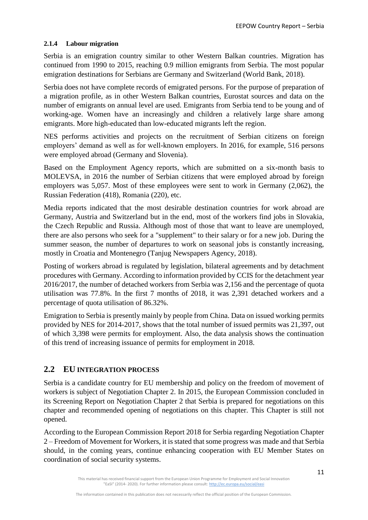#### <span id="page-10-0"></span>**2.1.4 Labour migration**

Serbia is an emigration country similar to other Western Balkan countries. Migration has continued from 1990 to 2015, reaching 0.9 million emigrants from Serbia. The most popular emigration destinations for Serbians are Germany and Switzerland (World Bank, 2018).

Serbia does not have complete records of emigrated persons. For the purpose of preparation of a migration profile, as in other Western Balkan countries, Eurostat sources and data on the number of emigrants on annual level are used. Emigrants from Serbia tend to be young and of working-age. Women have an increasingly and children a relatively large share among emigrants. More high-educated than low-educated migrants left the region.

NES performs activities and projects on the recruitment of Serbian citizens on foreign employers' demand as well as for well-known employers. In 2016, for example, 516 persons were employed abroad (Germany and Slovenia).

Based on the Employment Agency reports, which are submitted on a six-month basis to MOLEVSA, in 2016 the number of Serbian citizens that were employed abroad by foreign employers was 5,057. Most of these employees were sent to work in Germany (2,062), the Russian Federation (418), Romania (220), etc.

Media reports indicated that the most desirable destination countries for work abroad are Germany, Austria and Switzerland but in the end, most of the workers find jobs in Slovakia, the Czech Republic and Russia. Although most of those that want to leave are unemployed, there are also persons who seek for a "supplement" to their salary or for a new job. During the summer season, the number of departures to work on seasonal jobs is constantly increasing, mostly in Croatia and Montenegro (Tanjug Newspapers Agency, 2018).

Posting of workers abroad is regulated by legislation, bilateral agreements and by detachment procedures with Germany. According to information provided by CCIS for the detachment year 2016/2017, the number of detached workers from Serbia was 2,156 and the percentage of quota utilisation was 77.8%. In the first 7 months of 2018, it was 2,391 detached workers and a percentage of quota utilisation of 86.32%.

Emigration to Serbia is presently mainly by people from China. Data on issued working permits provided by NES for 2014-2017, shows that the total number of issued permits was 21,397, out of which 3,398 were permits for employment. Also, the data analysis shows the continuation of this trend of increasing issuance of permits for employment in 2018.

## <span id="page-10-1"></span>**2.2 EU INTEGRATION PROCESS**

Serbia is a candidate country for EU membership and policy on the freedom of movement of workers is subject of Negotiation Chapter 2. In 2015, the European Commission concluded in its Screening Report on Negotiation Chapter 2 that Serbia is prepared for negotiations on this chapter and recommended opening of negotiations on this chapter. This Chapter is still not opened.

According to the European Commission Report 2018 for Serbia regarding Negotiation Chapter 2 – Freedom of Movement for Workers, it is stated that some progress was made and that Serbia should, in the coming years, continue enhancing cooperation with EU Member States on coordination of social security systems.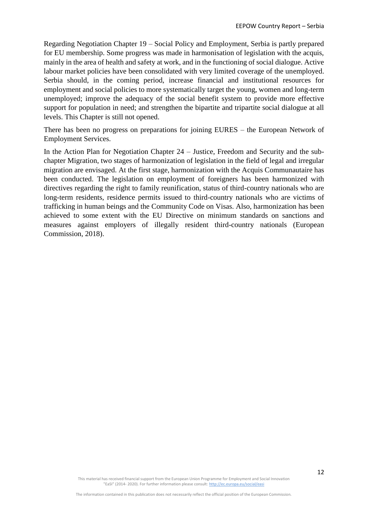Regarding Negotiation Chapter 19 – Social Policy and Employment, Serbia is partly prepared for EU membership. Some progress was made in harmonisation of legislation with the acquis, mainly in the area of health and safety at work, and in the functioning of social dialogue. Active labour market policies have been consolidated with very limited coverage of the unemployed. Serbia should, in the coming period, increase financial and institutional resources for employment and social policies to more systematically target the young, women and long-term unemployed; improve the adequacy of the social benefit system to provide more effective support for population in need; and strengthen the bipartite and tripartite social dialogue at all levels. This Chapter is still not opened.

There has been no progress on preparations for joining EURES – the European Network of Employment Services.

In the Action Plan for Negotiation Chapter 24 – Justice, Freedom and Security and the subchapter Migration, two stages of harmonization of legislation in the field of legal and irregular migration are envisaged. At the first stage, harmonization with the Acquis Communautaire has been conducted. The legislation on employment of foreigners has been harmonized with directives regarding the right to family reunification, status of third-country nationals who are long-term residents, residence permits issued to third-country nationals who are victims of trafficking in human beings and the Community Code on Visas. Also, harmonization has been achieved to some extent with the EU Directive on minimum standards on sanctions and measures against employers of illegally resident third-country nationals (European Commission, 2018).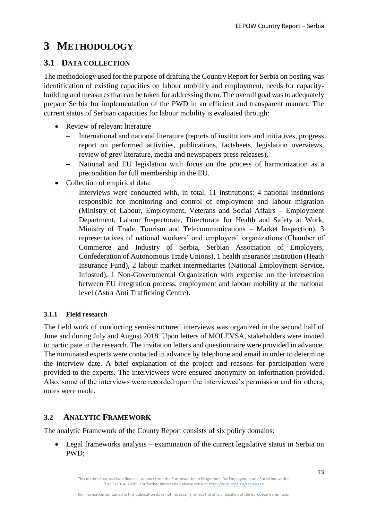# <span id="page-12-0"></span>**3 METHODOLOGY**

## <span id="page-12-1"></span>**3.1 DATA COLLECTION**

The methodology used for the purpose of drafting the Country Report for Serbia on posting was identification of existing capacities on labour mobility and employment, needs for capacitybuilding and measures that can be taken for addressing them. The overall goal was to adequately prepare Serbia for implementation of the PWD in an efficient and transparent manner. The current status of Serbian capacities for labour mobility is evaluated through:

- Review of relevant literature
	- − International and national literature (reports of institutions and initiatives, progress report on performed activities, publications, factsheets, legislation overviews, review of grey literature, media and newspapers press releases),
	- − National and EU legislation with focus on the process of harmonization as a precondition for full membership in the EU.
- Collection of empirical data:
	- Interviews were conducted with, in total, 11 institutions: 4 national institutions responsible for monitoring and control of employment and labour migration (Ministry of Labour, Employment, Veterans and Social Affairs – Employment Department, Labour Inspectorate, Directorate for Health and Safety at Work, Ministry of Trade, Tourism and Telecommunications – Market Inspection), 3 representatives of national workers' and employers' organizations (Chamber of Commerce and Industry of Serbia, Serbian Association of Employers, Confederation of Autonomous Trade Unions), 1 health insurance institution (Heath Insurance Fund), 2 labour market intermediaries (National Employment Service, Infostud), 1 Non-Governmental Organization with expertise on the intersection between EU integration process, employment and labour mobility at the national level (Astra Anti Trafficking Centre).

## <span id="page-12-2"></span>**3.1.1 Field research**

The field work of conducting semi-structured interviews was organized in the second half of June and during July and August 2018. Upon letters of MOLEVSA, stakeholders were invited to participate in the research. The invitation letters and questionnaire were provided in advance. The nominated experts were contacted in advance by telephone and email in order to determine the interview date. A brief explanation of the project and reasons for participation were provided to the experts. The interviewees were ensured anonymity on information provided. Also, some of the interviews were recorded upon the interviewee's permission and for others, notes were made.

## <span id="page-12-3"></span>**3.2 ANALYTIC FRAMEWORK**

The analytic Framework of the County Report consists of six policy domains:

• Legal frameworks analysis – examination of the current legislative status in Serbia on PWD;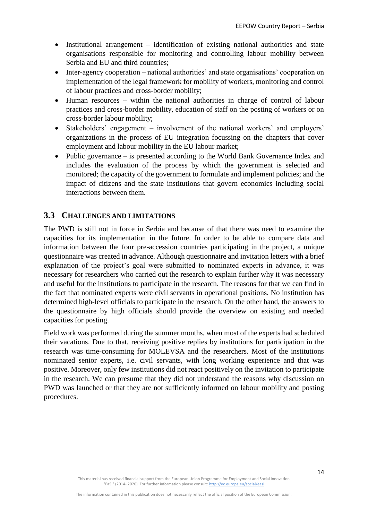- Institutional arrangement identification of existing national authorities and state organisations responsible for monitoring and controlling labour mobility between Serbia and EU and third countries;
- Inter-agency cooperation national authorities' and state organisations' cooperation on implementation of the legal framework for mobility of workers, monitoring and control of labour practices and cross-border mobility;
- Human resources within the national authorities in charge of control of labour practices and cross-border mobility, education of staff on the posting of workers or on cross-border labour mobility;
- Stakeholders' engagement involvement of the national workers' and employers' organizations in the process of EU integration focussing on the chapters that cover employment and labour mobility in the EU labour market;
- Public governance is presented according to the World Bank Governance Index and includes the evaluation of the process by which the government is selected and monitored; the capacity of the government to formulate and implement policies; and the impact of citizens and the state institutions that govern economics including social interactions between them.

## <span id="page-13-0"></span>**3.3 CHALLENGES AND LIMITATIONS**

The PWD is still not in force in Serbia and because of that there was need to examine the capacities for its implementation in the future. In order to be able to compare data and information between the four pre-accession countries participating in the project, a unique questionnaire was created in advance. Although questionnaire and invitation letters with a brief explanation of the project's goal were submitted to nominated experts in advance, it was necessary for researchers who carried out the research to explain further why it was necessary and useful for the institutions to participate in the research. The reasons for that we can find in the fact that nominated experts were civil servants in operational positions. No institution has determined high-level officials to participate in the research. On the other hand, the answers to the questionnaire by high officials should provide the overview on existing and needed capacities for posting.

Field work was performed during the summer months, when most of the experts had scheduled their vacations. Due to that, receiving positive replies by institutions for participation in the research was time-consuming for MOLEVSA and the researchers. Most of the institutions nominated senior experts, i.e. civil servants, with long working experience and that was positive. Moreover, only few institutions did not react positively on the invitation to participate in the research. We can presume that they did not understand the reasons why discussion on PWD was launched or that they are not sufficiently informed on labour mobility and posting procedures.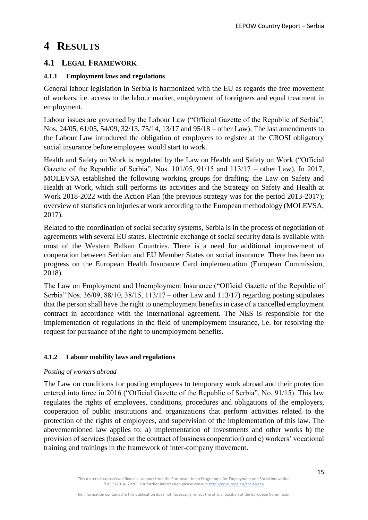# <span id="page-14-0"></span>**4 RESULTS**

## <span id="page-14-1"></span>**4.1 LEGAL FRAMEWORK**

### <span id="page-14-2"></span>**4.1.1 Employment laws and regulations**

General labour legislation in Serbia is harmonized with the EU as regards the free movement of workers, i.e. access to the labour market, employment of foreigners and equal treatment in employment.

Labour issues are governed by the Labour Law ("Official Gazette of the Republic of Serbia", Nos. 24/05, 61/05, 54/09, 32/13, 75/14, 13/17 and 95/18 – other Law). The last amendments to the Labour Law introduced the obligation of employers to register at the CROSI obligatory social insurance before employees would start to work.

Health and Safety on Work is regulated by the Law on Health and Safety on Work ("Official Gazette of the Republic of Serbia", Nos. 101/05, 91/15 and 113/17 – other Law). In 2017, MOLEVSA established the following working groups for drafting: the Law on Safety and Health at Work, which still performs its activities and the Strategy on Safety and Health at Work 2018-2022 with the Action Plan (the previous strategy was for the period 2013-2017); overview of statistics on injuries at work according to the European methodology (MOLEVSA, 2017).

Related to the coordination of social security systems, Serbia is in the process of negotiation of agreements with several EU states. Electronic exchange of social security data is available with most of the Western Balkan Countries. There is a need for additional improvement of cooperation between Serbian and EU Member States on social insurance. There has been no progress on the European Health Insurance Card implementation (European Commission, 2018).

The Law on Employment and Unemployment Insurance ("Official Gazette of the Republic of Serbia" Nos. 36/09, 88/10, 38/15, 113/17 – other Law and 113/17) regarding posting stipulates that the person shall have the right to unemployment benefits in case of a cancelled employment contract in accordance with the international agreement. The NES is responsible for the implementation of regulations in the field of unemployment insurance, i.e. for resolving the request for pursuance of the right to unemployment benefits.

## <span id="page-14-3"></span>**4.1.2 Labour mobility laws and regulations**

#### *Posting of workers abroad*

The Law on conditions for posting employees to temporary work abroad and their protection entered into force in 2016 ("Official Gazette of the Republic of Serbia", No. 91/15). This law regulates the rights of employees, conditions, procedures and obligations of the employers, cooperation of public institutions and organizations that perform activities related to the protection of the rights of employees, and supervision of the implementation of this law. The abovementioned law applies to: a) implementation of investments and other works b) the provision of services (based on the contract of business cooperation) and c) workers' vocational training and trainings in the framework of inter-company movement.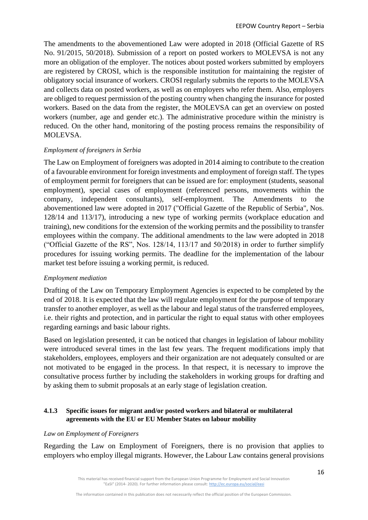The amendments to the abovementioned Law were adopted in 2018 (Official Gazette of RS No. 91/2015, 50/2018). Submission of a report on posted workers to MOLEVSA is not any more an obligation of the employer. The notices about posted workers submitted by employers are registered by CROSI, which is the responsible institution for maintaining the register of obligatory social insurance of workers. CROSI regularly submits the reports to the MOLEVSA and collects data on posted workers, as well as on employers who refer them. Also, employers are obliged to request permission of the posting country when changing the insurance for posted workers. Based on the data from the register, the MOLEVSA can get an overview on posted workers (number, age and gender etc.). The administrative procedure within the ministry is reduced. On the other hand, monitoring of the posting process remains the responsibility of MOLEVSA.

#### *Employment of foreigners in Serbia*

The Law on Employment of foreigners was adopted in 2014 aiming to contribute to the creation of a favourable environment for foreign investments and employment of foreign staff. The types of employment permit for foreigners that can be issued are for: employment (students, seasonal employment), special cases of employment (referenced persons, movements within the company, independent consultants), self-employment. The Amendments to the abovementioned law were adopted in 2017 ("Official Gazette of the Republic of Serbia", Nos. 128/14 and 113/17), introducing a new type of working permits (workplace education and training), new conditions for the extension of the working permits and the possibility to transfer employees within the company. The additional amendments to the law were adopted in 2018 ("Official Gazette of the RS", Nos. 128/14, 113/17 and 50/2018) in order to further simplify procedures for issuing working permits. The deadline for the implementation of the labour market test before issuing a working permit, is reduced.

#### *Employment mediation*

Drafting of the Law on Temporary Employment Agencies is expected to be completed by the end of 2018. It is expected that the law will regulate employment for the purpose of temporary transfer to another employer, as well as the labour and legal status of the transferred employees, i.e. their rights and protection, and in particular the right to equal status with other employees regarding earnings and basic labour rights.

Based on legislation presented, it can be noticed that changes in legislation of labour mobility were introduced several times in the last few years. The frequent modifications imply that stakeholders, employees, employers and their organization are not adequately consulted or are not motivated to be engaged in the process. In that respect, it is necessary to improve the consultative process further by including the stakeholders in working groups for drafting and by asking them to submit proposals at an early stage of legislation creation.

#### <span id="page-15-0"></span>**4.1.3 Specific issues for migrant and/or posted workers and bilateral or multilateral agreements with the EU or EU Member States on labour mobility**

#### *Law on Employment of Foreigners*

Regarding the Law on Employment of Foreigners, there is no provision that applies to employers who employ illegal migrants. However, the Labour Law contains general provisions

This material has received financial support from the European Union Programme for Employment and Social Innovation "EaSI" (2014- 2020). For further information please consult: <http://ec.europa.eu/social/easi>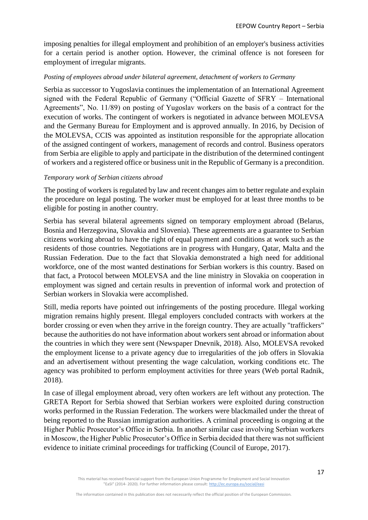imposing penalties for illegal employment and prohibition of an employer's business activities for a certain period is another option. However, the criminal offence is not foreseen for employment of irregular migrants.

#### *Posting of employees abroad under bilateral agreement, detachment of workers to Germany*

Serbia as successor to Yugoslavia continues the implementation of an International Agreement signed with the Federal Republic of Germany ("Official Gazette of SFRY – International Agreements", No. 11/89) on posting of Yugoslav workers on the basis of a contract for the execution of works. The contingent of workers is negotiated in advance between MOLEVSA and the Germany Bureau for Employment and is approved annually. In 2016, by Decision of the MOLEVSA, CCIS was appointed as institution responsible for the appropriate allocation of the assigned contingent of workers, management of records and control. Business operators from Serbia are eligible to apply and participate in the distribution of the determined contingent of workers and a registered office or business unit in the Republic of Germany is a precondition.

#### *Temporary work of Serbian citizens abroad*

The posting of workers is regulated by law and recent changes aim to better regulate and explain the procedure on legal posting. The worker must be employed for at least three months to be eligible for posting in another country.

Serbia has several bilateral agreements signed on temporary employment abroad (Belarus, Bosnia and Herzegovina, Slovakia and Slovenia). These agreements are a guarantee to Serbian citizens working abroad to have the right of equal payment and conditions at work such as the residents of those countries. Negotiations are in progress with Hungary, Qatar, Malta and the Russian Federation. Due to the fact that Slovakia demonstrated a high need for additional workforce, one of the most wanted destinations for Serbian workers is this country. Based on that fact, a Protocol between MOLEVSA and the line ministry in Slovakia on cooperation in employment was signed and certain results in prevention of informal work and protection of Serbian workers in Slovakia were accomplished.

Still, media reports have pointed out infringements of the posting procedure. Illegal working migration remains highly present. Illegal employers concluded contracts with workers at the border crossing or even when they arrive in the foreign country. They are actually "traffickers" because the authorities do not have information about workers sent abroad or information about the countries in which they were sent (Newspaper Dnevnik, 2018). Also, MOLEVSA revoked the employment license to a private agency due to irregularities of the job offers in Slovakia and an advertisement without presenting the wage calculation, working conditions etc. The agency was prohibited to perform employment activities for three years (Web portal Radnik, 2018).

In case of illegal employment abroad, very often workers are left without any protection. The GRETA Report for Serbia showed that Serbian workers were exploited during construction works performed in the Russian Federation. The workers were blackmailed under the threat of being reported to the Russian immigration authorities. A criminal proceeding is ongoing at the Higher Public Prosecutor's Office in Serbia. In another similar case involving Serbian workers in Moscow, the Higher Public Prosecutor's Office in Serbia decided that there was not sufficient evidence to initiate criminal proceedings for trafficking (Council of Europe, 2017).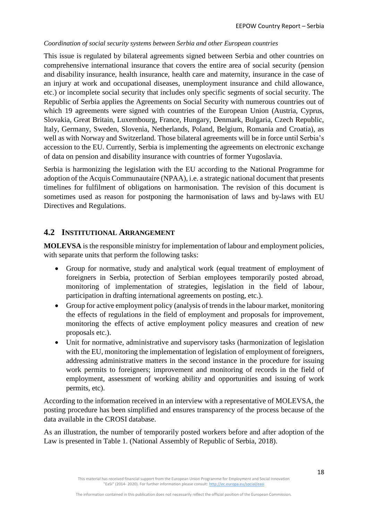#### *Coordination of social security systems between Serbia and other European countries*

This issue is regulated by bilateral agreements signed between Serbia and other countries on comprehensive international insurance that covers the entire area of social security (pension and disability insurance, health insurance, health care and maternity, insurance in the case of an injury at work and occupational diseases, unemployment insurance and child allowance, etc.) or incomplete social security that includes only specific segments of social security. The Republic of Serbia applies the Agreements on Social Security with numerous countries out of which 19 agreements were signed with countries of the European Union (Austria, Cyprus, Slovakia, Great Britain, Luxembourg, France, Hungary, Denmark, Bulgaria, Czech Republic, Italy, Germany, Sweden, Slovenia, Netherlands, Poland, Belgium, Romania and Croatia), as well as with Norway and Switzerland. Those bilateral agreements will be in force until Serbia's accession to the EU. Currently, Serbia is implementing the agreements on electronic exchange of data on pension and disability insurance with countries of former Yugoslavia.

Serbia is harmonizing the legislation with the EU according to the National Programme for adoption of the Acquis Communautaire (NPAA), i.e. a strategic national document that presents timelines for fulfilment of obligations on harmonisation. The revision of this document is sometimes used as reason for postponing the harmonisation of laws and by-laws with EU Directives and Regulations.

### <span id="page-17-0"></span>**4.2 INSTITUTIONAL ARRANGEMENT**

**MOLEVSA** is the responsible ministry for implementation of labour and employment policies, with separate units that perform the following tasks:

- Group for normative, study and analytical work (equal treatment of employment of foreigners in Serbia, protection of Serbian employees temporarily posted abroad, monitoring of implementation of strategies, legislation in the field of labour, participation in drafting international agreements on posting, etc.).
- Group for active employment policy (analysis of trends in the labour market, monitoring the effects of regulations in the field of employment and proposals for improvement, monitoring the effects of active employment policy measures and creation of new proposals etc.).
- Unit for normative, administrative and supervisory tasks (harmonization of legislation with the EU, monitoring the implementation of legislation of employment of foreigners, addressing administrative matters in the second instance in the procedure for issuing work permits to foreigners; improvement and monitoring of records in the field of employment, assessment of working ability and opportunities and issuing of work permits, etc).

According to the information received in an interview with a representative of MOLEVSA, the posting procedure has been simplified and ensures transparency of the process because of the data available in the CROSI database.

As an illustration, the number of temporarily posted workers before and after adoption of the Law is presented in Table 1. (National Assembly of Republic of Serbia, 2018).

This material has received financial support from the European Union Programme for Employment and Social Innovation "EaSI" (2014- 2020). For further information please consult: <http://ec.europa.eu/social/easi>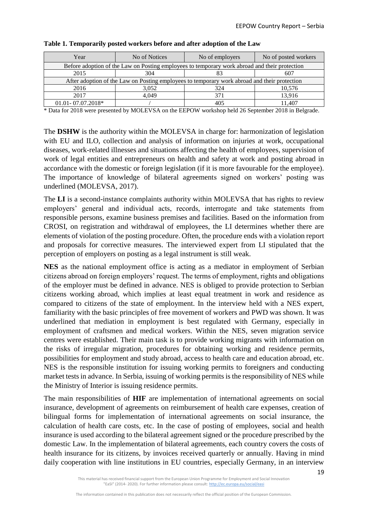| Year                                                                                          | No of Notices | No of employers | No of posted workers |  |  |  |  |  |
|-----------------------------------------------------------------------------------------------|---------------|-----------------|----------------------|--|--|--|--|--|
| Before adoption of the Law on Posting employees to temporary work abroad and their protection |               |                 |                      |  |  |  |  |  |
| 2015                                                                                          | 304           |                 | 607                  |  |  |  |  |  |
| After adoption of the Law on Posting employees to temporary work abroad and their protection  |               |                 |                      |  |  |  |  |  |
| 2016                                                                                          | 3,052         | 324             | 10,576               |  |  |  |  |  |
| 2017                                                                                          | 4.049         | 371             | 13,916               |  |  |  |  |  |
| 01.01-07.07.2018*                                                                             |               | 405             | 11.407               |  |  |  |  |  |

**Table 1. Temporarily posted workers before and after adoption of the Law**

\* Data for 2018 were presented by MOLEVSA on the EEPOW workshop held 26 September 2018 in Belgrade.

The **DSHW** is the authority within the MOLEVSA in charge for: harmonization of legislation with EU and ILO, collection and analysis of information on injuries at work, occupational diseases, work-related illnesses and situations affecting the health of employees, supervision of work of legal entities and entrepreneurs on health and safety at work and posting abroad in accordance with the domestic or foreign legislation (if it is more favourable for the employee). The importance of knowledge of bilateral agreements signed on workers' posting was underlined (MOLEVSA, 2017).

The **LI** is a second-instance complaints authority within MOLEVSA that has rights to review employers' general and individual acts, records, interrogate and take statements from responsible persons, examine business premises and facilities. Based on the information from CROSI, on registration and withdrawal of employees, the LI determines whether there are elements of violation of the posting procedure. Often, the procedure ends with a violation report and proposals for corrective measures. The interviewed expert from LI stipulated that the perception of employers on posting as a legal instrument is still weak.

**NES** as the national employment office is acting as a mediator in employment of Serbian citizens abroad on foreign employers' request. The terms of employment, rights and obligations of the employer must be defined in advance. NES is obliged to provide protection to Serbian citizens working abroad, which implies at least equal treatment in work and residence as compared to citizens of the state of employment. In the interview held with a NES expert, familiarity with the basic principles of free movement of workers and PWD was shown. It was underlined that mediation in employment is best regulated with Germany, especially in employment of craftsmen and medical workers. Within the NES, seven migration service centres were established. Their main task is to provide working migrants with information on the risks of irregular migration, procedures for obtaining working and residence permits, possibilities for employment and study abroad, access to health care and education abroad, etc. NES is the responsible institution for issuing working permits to foreigners and conducting market tests in advance. In Serbia, issuing of working permits is the responsibility of NES while the Ministry of Interior is issuing residence permits.

The main responsibilities of **HIF** are implementation of international agreements on social insurance, development of agreements on reimbursement of health care expenses, creation of bilingual forms for implementation of international agreements on social insurance, the calculation of health care costs, etc. In the case of posting of employees, social and health insurance is used according to the bilateral agreement signed or the procedure prescribed by the domestic Law. In the implementation of bilateral agreements, each country covers the costs of health insurance for its citizens, by invoices received quarterly or annually. Having in mind daily cooperation with line institutions in EU countries, especially Germany, in an interview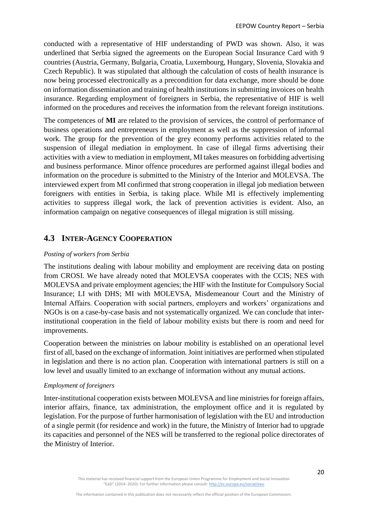conducted with a representative of HIF understanding of PWD was shown. Also, it was underlined that Serbia signed the agreements on the European Social Insurance Card with 9 countries (Austria, Germany, Bulgaria, Croatia, Luxembourg, Hungary, Slovenia, Slovakia and Czech Republic). It was stipulated that although the calculation of costs of health insurance is now being processed electronically as a precondition for data exchange, more should be done on information dissemination and training of health institutions in submitting invoices on health insurance. Regarding employment of foreigners in Serbia, the representative of HIF is well informed on the procedures and receives the information from the relevant foreign institutions.

The competences of **MI** are related to the provision of services, the control of performance of business operations and entrepreneurs in employment as well as the suppression of informal work. The group for the prevention of the grey economy performs activities related to the suspension of illegal mediation in employment. In case of illegal firms advertising their activities with a view to mediation in employment, MI takes measures on forbidding advertising and business performance. Minor offence procedures are performed against illegal bodies and information on the procedure is submitted to the Ministry of the Interior and MOLEVSA. The interviewed expert from MI confirmed that strong cooperation in illegal job mediation between foreigners with entities in Serbia, is taking place. While MI is effectively implementing activities to suppress illegal work, the lack of prevention activities is evident. Also, an information campaign on negative consequences of illegal migration is still missing.

## <span id="page-19-0"></span>**4.3 INTER-AGENCY COOPERATION**

#### *Posting of workers from Serbia*

The institutions dealing with labour mobility and employment are receiving data on posting from CROSI. We have already noted that MOLEVSA cooperates with the CCIS; NES with MOLEVSA and private employment agencies; the HIF with the Institute for Compulsory Social Insurance; LI with DHS; MI with MOLEVSA, Misdemeanour Court and the Ministry of Internal Affairs. Cooperation with social partners, employers and workers' organizations and NGOs is on a case-by-case basis and not systematically organized. We can conclude that interinstitutional cooperation in the field of labour mobility exists but there is room and need for improvements.

Cooperation between the ministries on labour mobility is established on an operational level first of all, based on the exchange of information. Joint initiatives are performed when stipulated in legislation and there is no action plan. Cooperation with international partners is still on a low level and usually limited to an exchange of information without any mutual actions.

#### *Employment of foreigners*

Inter-institutional cooperation exists between MOLEVSA and line ministries for foreign affairs, interior affairs, finance, tax administration, the employment office and it is regulated by legislation. For the purpose of further harmonisation of legislation with the EU and introduction of a single permit (for residence and work) in the future, the Ministry of Interior had to upgrade its capacities and personnel of the NES will be transferred to the regional police directorates of the Ministry of Interior.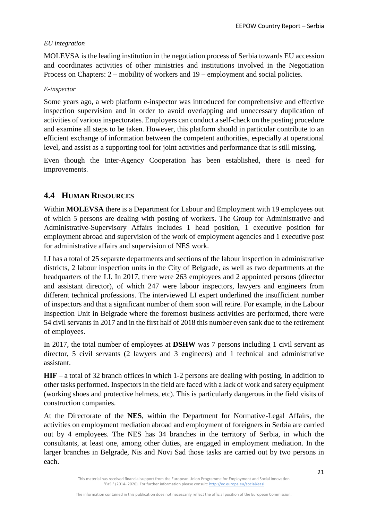#### *EU integration*

MOLEVSA is the leading institution in the negotiation process of Serbia towards EU accession and coordinates activities of other ministries and institutions involved in the Negotiation Process on Chapters: 2 – mobility of workers and 19 – employment and social policies.

#### *E-inspector*

Some years ago, a web platform e-inspector was introduced for comprehensive and effective inspection supervision and in order to avoid overlapping and unnecessary duplication of activities of various inspectorates. Employers can conduct a self-check on the posting procedure and examine all steps to be taken. However, this platform should in particular contribute to an efficient exchange of information between the competent authorities, especially at operational level, and assist as a supporting tool for joint activities and performance that is still missing.

Even though the Inter-Agency Cooperation has been established, there is need for improvements.

## <span id="page-20-0"></span>**4.4 HUMAN RESOURCES**

Within **MOLEVSA** there is a Department for Labour and Employment with 19 employees out of which 5 persons are dealing with posting of workers. The Group for Administrative and Administrative-Supervisory Affairs includes 1 head position, 1 executive position for employment abroad and supervision of the work of employment agencies and 1 executive post for administrative affairs and supervision of NES work.

LI has a total of 25 separate departments and sections of the labour inspection in administrative districts, 2 labour inspection units in the City of Belgrade, as well as two departments at the headquarters of the LI. In 2017, there were 263 employees and 2 appointed persons (director and assistant director), of which 247 were labour inspectors, lawyers and engineers from different technical professions. The interviewed LI expert underlined the insufficient number of inspectors and that a significant number of them soon will retire. For example, in the Labour Inspection Unit in Belgrade where the foremost business activities are performed, there were 54 civil servants in 2017 and in the first half of 2018 this number even sank due to the retirement of employees.

In 2017, the total number of employees at **DSHW** was 7 persons including 1 civil servant as director, 5 civil servants (2 lawyers and 3 engineers) and 1 technical and administrative assistant.

**HIF** – a total of 32 branch offices in which 1-2 persons are dealing with posting, in addition to other tasks performed. Inspectors in the field are faced with a lack of work and safety equipment (working shoes and protective helmets, etc). This is particularly dangerous in the field visits of construction companies.

At the Directorate of the **NES**, within the Department for Normative-Legal Affairs, the activities on employment mediation abroad and employment of foreigners in Serbia are carried out by 4 employees. The NES has 34 branches in the territory of Serbia, in which the consultants, at least one, among other duties, are engaged in employment mediation. In the larger branches in Belgrade, Nis and Novi Sad those tasks are carried out by two persons in each.

This material has received financial support from the European Union Programme for Employment and Social Innovation "EaSI" (2014- 2020). For further information please consult: <http://ec.europa.eu/social/easi>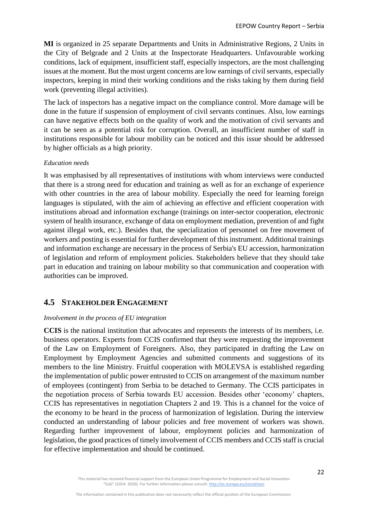**MI** is organized in 25 separate Departments and Units in Administrative Regions, 2 Units in the City of Belgrade and 2 Units at the Inspectorate Headquarters. Unfavourable working conditions, lack of equipment, insufficient staff, especially inspectors, are the most challenging issues at the moment. But the most urgent concerns are low earnings of civil servants, especially inspectors, keeping in mind their working conditions and the risks taking by them during field work (preventing illegal activities).

The lack of inspectors has a negative impact on the compliance control. More damage will be done in the future if suspension of employment of civil servants continues. Also, low earnings can have negative effects both on the quality of work and the motivation of civil servants and it can be seen as a potential risk for corruption. Overall, an insufficient number of staff in institutions responsible for labour mobility can be noticed and this issue should be addressed by higher officials as a high priority.

#### *Education needs*

It was emphasised by all representatives of institutions with whom interviews were conducted that there is a strong need for education and training as well as for an exchange of experience with other countries in the area of labour mobility. Especially the need for learning foreign languages is stipulated, with the aim of achieving an effective and efficient cooperation with institutions abroad and information exchange (trainings on inter-sector cooperation, electronic system of health insurance, exchange of data on employment mediation, prevention of and fight against illegal work, etc.). Besides that, the specialization of personnel on free movement of workers and posting is essential for further development of this instrument. Additional trainings and information exchange are necessary in the process of Serbia's EU accession, harmonization of legislation and reform of employment policies. Stakeholders believe that they should take part in education and training on labour mobility so that communication and cooperation with authorities can be improved.

#### <span id="page-21-0"></span>**4.5 STAKEHOLDER ENGAGEMENT**

#### *Involvement in the process of EU integration*

**CCIS** is the national institution that advocates and represents the interests of its members, i.e. business operators. Experts from CCIS confirmed that they were requesting the improvement of the Law on Employment of Foreigners. Also, they participated in drafting the Law on Employment by Employment Agencies and submitted comments and suggestions of its members to the line Ministry. Fruitful cooperation with MOLEVSA is established regarding the implementation of public power entrusted to CCIS on arrangement of the maximum number of employees (contingent) from Serbia to be detached to Germany. The CCIS participates in the negotiation process of Serbia towards EU accession. Besides other 'economy' chapters, CCIS has representatives in negotiation Chapters 2 and 19. This is a channel for the voice of the economy to be heard in the process of harmonization of legislation. During the interview conducted an understanding of labour policies and free movement of workers was shown. Regarding further improvement of labour, employment policies and harmonization of legislation, the good practices of timely involvement of CCIS members and CCIS staff is crucial for effective implementation and should be continued.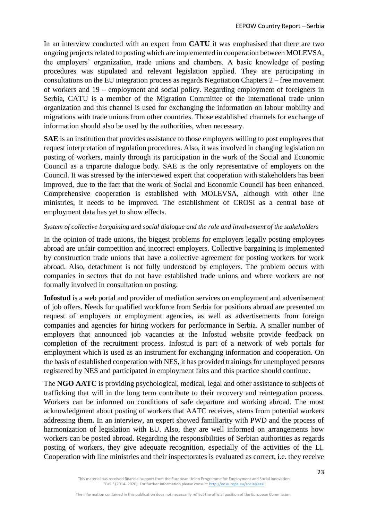In an interview conducted with an expert from **CATU** it was emphasised that there are two ongoing projects related to posting which are implemented in cooperation between MOLEVSA, the employers' organization, trade unions and chambers. A basic knowledge of posting procedures was stipulated and relevant legislation applied. They are participating in consultations on the EU integration process as regards Negotiation Chapters 2 – free movement of workers and 19 – employment and social policy. Regarding employment of foreigners in Serbia, CATU is a member of the Migration Committee of the international trade union organization and this channel is used for exchanging the information on labour mobility and migrations with trade unions from other countries. Those established channels for exchange of information should also be used by the authorities, when necessary.

**SAE** is an institution that provides assistance to those employers willing to post employees that request interpretation of regulation procedures. Also, it was involved in changing legislation on posting of workers, mainly through its participation in the work of the Social and Economic Council as a tripartite dialogue body. SAE is the only representative of employers on the Council. It was stressed by the interviewed expert that cooperation with stakeholders has been improved, due to the fact that the work of Social and Economic Council has been enhanced. Comprehensive cooperation is established with MOLEVSA, although with other line ministries, it needs to be improved. The establishment of CROSI as a central base of employment data has yet to show effects.

#### *System of collective bargaining and social dialogue and the role and involvement of the stakeholders*

In the opinion of trade unions, the biggest problems for employers legally posting employees abroad are unfair competition and incorrect employers. Collective bargaining is implemented by construction trade unions that have a collective agreement for posting workers for work abroad. Also, detachment is not fully understood by employers. The problem occurs with companies in sectors that do not have established trade unions and where workers are not formally involved in consultation on posting.

**Infostud** is a web portal and provider of mediation services on employment and advertisement of job offers. Needs for qualified workforce from Serbia for positions abroad are presented on request of employers or employment agencies, as well as advertisements from foreign companies and agencies for hiring workers for performance in Serbia. A smaller number of employers that announced job vacancies at the Infostud website provide feedback on completion of the recruitment process. Infostud is part of a network of web portals for employment which is used as an instrument for exchanging information and cooperation. On the basis of established cooperation with NES, it has provided trainings for unemployed persons registered by NES and participated in employment fairs and this practice should continue.

The **NGO AATC** is providing psychological, medical, legal and other assistance to subjects of trafficking that will in the long term contribute to their recovery and reintegration process. Workers can be informed on conditions of safe departure and working abroad. The most acknowledgment about posting of workers that AATC receives, stems from potential workers addressing them. In an interview, an expert showed familiarity with PWD and the process of harmonization of legislation with EU. Also, they are well informed on arrangements how workers can be posted abroad. Regarding the responsibilities of Serbian authorities as regards posting of workers, they give adequate recognition, especially of the activities of the LI. Cooperation with line ministries and their inspectorates is evaluated as correct, i.e. they receive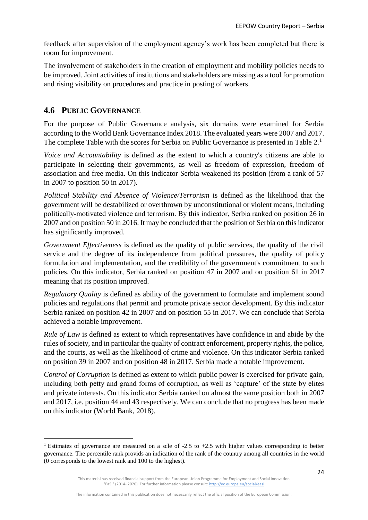feedback after supervision of the employment agency's work has been completed but there is room for improvement.

The involvement of stakeholders in the creation of employment and mobility policies needs to be improved. Joint activities of institutions and stakeholders are missing as a tool for promotion and rising visibility on procedures and practice in posting of workers.

## <span id="page-23-0"></span>**4.6 PUBLIC GOVERNANCE**

 $\overline{\phantom{a}}$ 

For the purpose of Public Governance analysis, six domains were examined for Serbia according to the World Bank Governance Index 2018. The evaluated years were 2007 and 2017. The complete Table with the scores for Serbia on Public Governance is presented in Table 2.<sup>1</sup>

*Voice and Accountability* is defined as the extent to which a country's citizens are able to participate in selecting their governments, as well as freedom of expression, freedom of association and free media. On this indicator Serbia weakened its position (from a rank of 57 in 2007 to position 50 in 2017).

*Political Stability and Absence of Violence/Terrorism* is defined as the likelihood that the government will be destabilized or overthrown by unconstitutional or violent means, including politically‐motivated violence and terrorism. By this indicator, Serbia ranked on position 26 in 2007 and on position 50 in 2016. It may be concluded that the position of Serbia on this indicator has significantly improved.

*Government Effectiveness* is defined as the quality of public services, the quality of the civil service and the degree of its independence from political pressures, the quality of policy formulation and implementation, and the credibility of the government's commitment to such policies. On this indicator, Serbia ranked on position 47 in 2007 and on position 61 in 2017 meaning that its position improved.

*Regulatory Quality* is defined as ability of the government to formulate and implement sound policies and regulations that permit and promote private sector development. By this indicator Serbia ranked on position 42 in 2007 and on position 55 in 2017. We can conclude that Serbia achieved a notable improvement.

*Rule of Law* is defined as extent to which representatives have confidence in and abide by the rules of society, and in particular the quality of contract enforcement, property rights, the police, and the courts, as well as the likelihood of crime and violence. On this indicator Serbia ranked on position 39 in 2007 and on position 48 in 2017. Serbia made a notable improvement.

*Control of Corruption* is defined as extent to which public power is exercised for private gain, including both petty and grand forms of corruption, as well as 'capture' of the state by elites and private interests. On this indicator Serbia ranked on almost the same position both in 2007 and 2017, i.e. position 44 and 43 respectively. We can conclude that no progress has been made on this indicator (World Bank, 2018).

<sup>&</sup>lt;sup>1</sup> Estimates of governance are measured on a scle of  $-2.5$  to  $+2.5$  with higher values corresponding to better governance. The percentile rank provids an indication of the rank of the country among all countries in the world (0 corresponds to the lowest rank and 100 to the highest).

This material has received financial support from the European Union Programme for Employment and Social Innovation "EaSI" (2014- 2020). For further information please consult: <http://ec.europa.eu/social/easi>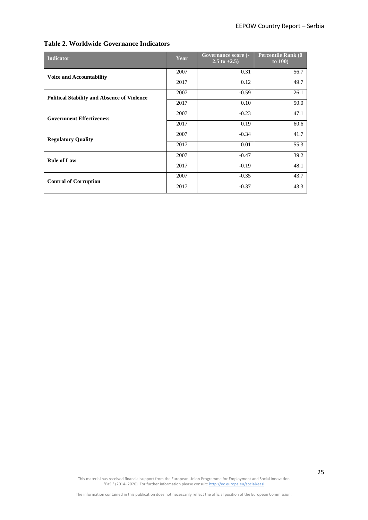#### **Table 2. Worldwide Governance Indicators**

| <b>Indicator</b>                                   | Year | Governance score (-<br>2.5 to $+2.5$ ) | <b>Percentile Rank (0)</b><br>to $100$ |
|----------------------------------------------------|------|----------------------------------------|----------------------------------------|
| <b>Voice and Accountability</b>                    | 2007 | 0.31                                   | 56.7                                   |
|                                                    | 2017 | 0.12                                   | 49.7                                   |
| <b>Political Stability and Absence of Violence</b> | 2007 | $-0.59$                                | 26.1                                   |
|                                                    | 2017 | 0.10                                   | 50.0                                   |
| <b>Government Effectiveness</b>                    | 2007 | $-0.23$                                | 47.1                                   |
|                                                    | 2017 | 0.19                                   | 60.6                                   |
| <b>Regulatory Quality</b>                          | 2007 | $-0.34$                                | 41.7                                   |
|                                                    | 2017 | 0.01                                   | 55.3                                   |
| <b>Rule of Law</b>                                 | 2007 | $-0.47$                                | 39.2                                   |
|                                                    | 2017 | $-0.19$                                | 48.1                                   |
| <b>Control of Corruption</b>                       | 2007 | $-0.35$                                | 43.7                                   |
|                                                    | 2017 | $-0.37$                                | 43.3                                   |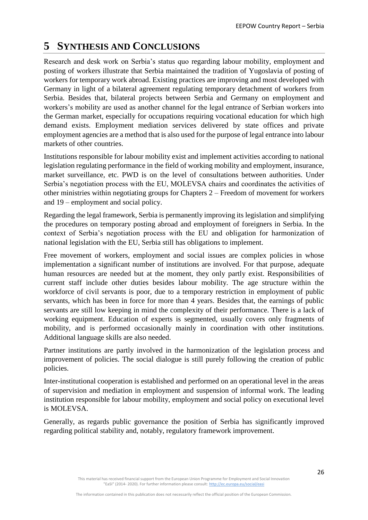## <span id="page-25-0"></span>**5 SYNTHESIS AND CONCLUSIONS**

Research and desk work on Serbia's status quo regarding labour mobility, employment and posting of workers illustrate that Serbia maintained the tradition of Yugoslavia of posting of workers for temporary work abroad. Existing practices are improving and most developed with Germany in light of a bilateral agreement regulating temporary detachment of workers from Serbia. Besides that, bilateral projects between Serbia and Germany on employment and workers's mobility are used as another channel for the legal entrance of Serbian workers into the German market, especially for occupations requiring vocational education for which high demand exists. Employment mediation services delivered by state offices and private employment agencies are a method that is also used for the purpose of legal entrance into labour markets of other countries.

Institutions responsible for labour mobility exist and implement activities according to national legislation regulating performance in the field of working mobility and employment, insurance, market surveillance, etc. PWD is on the level of consultations between authorities. Under Serbia's negotiation process with the EU, MOLEVSA chairs and coordinates the activities of other ministries within negotiating groups for Chapters 2 – Freedom of movement for workers and 19 – employment and social policy.

Regarding the legal framework, Serbia is permanently improving its legislation and simplifying the procedures on temporary posting abroad and employment of foreigners in Serbia. In the context of Serbia's negotiation process with the EU and obligation for harmonization of national legislation with the EU, Serbia still has obligations to implement.

Free movement of workers, employment and social issues are complex policies in whose implementation a significant number of institutions are involved. For that purpose, adequate human resources are needed but at the moment, they only partly exist. Responsibilities of current staff include other duties besides labour mobility. The age structure within the workforce of civil servants is poor, due to a temporary restriction in employment of public servants, which has been in force for more than 4 years. Besides that, the earnings of public servants are still low keeping in mind the complexity of their performance. There is a lack of working equipment. Education of experts is segmented, usually covers only fragments of mobility, and is performed occasionally mainly in coordination with other institutions. Additional language skills are also needed.

Partner institutions are partly involved in the harmonization of the legislation process and improvement of policies. The social dialogue is still purely following the creation of public policies.

Inter-institutional cooperation is established and performed on an operational level in the areas of supervision and mediation in employment and suspension of informal work. The leading institution responsible for labour mobility, employment and social policy on executional level is MOLEVSA.

Generally, as regards public governance the position of Serbia has significantly improved regarding political stability and, notably, regulatory framework improvement.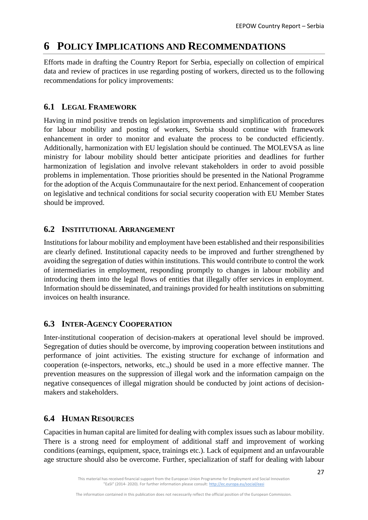# <span id="page-26-0"></span>**6 POLICY IMPLICATIONS AND RECOMMENDATIONS**

Efforts made in drafting the Country Report for Serbia, especially on collection of empirical data and review of practices in use regarding posting of workers, directed us to the following recommendations for policy improvements:

## <span id="page-26-1"></span>**6.1 LEGAL FRAMEWORK**

Having in mind positive trends on legislation improvements and simplification of procedures for labour mobility and posting of workers, Serbia should continue with framework enhancement in order to monitor and evaluate the process to be conducted efficiently. Additionally, harmonization with EU legislation should be continued. The MOLEVSA as line ministry for labour mobility should better anticipate priorities and deadlines for further harmonization of legislation and involve relevant stakeholders in order to avoid possible problems in implementation. Those priorities should be presented in the National Programme for the adoption of the Acquis Communautaire for the next period. Enhancement of cooperation on legislative and technical conditions for social security cooperation with EU Member States should be improved.

## <span id="page-26-2"></span>**6.2 INSTITUTIONAL ARRANGEMENT**

Institutions for labour mobility and employment have been established and their responsibilities are clearly defined. Institutional capacity needs to be improved and further strengthened by avoiding the segregation of duties within institutions. This would contribute to control the work of intermediaries in employment, responding promptly to changes in labour mobility and introducing them into the legal flows of entities that illegally offer services in employment. Information should be disseminated, and trainings provided for health institutions on submitting invoices on health insurance.

## <span id="page-26-3"></span>**6.3 INTER-AGENCY COOPERATION**

Inter-institutional cooperation of decision-makers at operational level should be improved. Segregation of duties should be overcome, by improving cooperation between institutions and performance of joint activities. The existing structure for exchange of information and cooperation (e-inspectors, networks, etc.,) should be used in a more effective manner. The prevention measures on the suppression of illegal work and the information campaign on the negative consequences of illegal migration should be conducted by joint actions of decisionmakers and stakeholders.

## <span id="page-26-4"></span>**6.4 HUMAN RESOURCES**

Capacities in human capital are limited for dealing with complex issues such as labour mobility. There is a strong need for employment of additional staff and improvement of working conditions (earnings, equipment, space, trainings etc.). Lack of equipment and an unfavourable age structure should also be overcome. Further, specialization of staff for dealing with labour

This material has received financial support from the European Union Programme for Employment and Social Innovation "EaSI" (2014- 2020). For further information please consult: <http://ec.europa.eu/social/easi>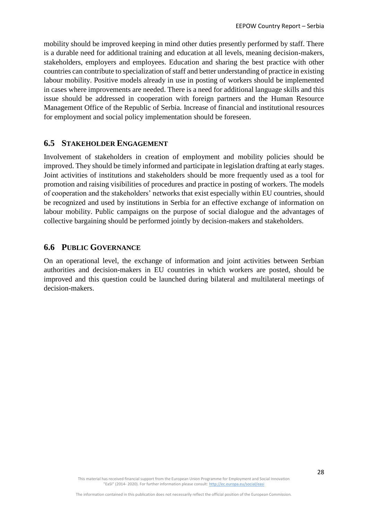mobility should be improved keeping in mind other duties presently performed by staff. There is a durable need for additional training and education at all levels, meaning decision-makers, stakeholders, employers and employees. Education and sharing the best practice with other countries can contribute to specialization of staff and better understanding of practice in existing labour mobility. Positive models already in use in posting of workers should be implemented in cases where improvements are needed. There is a need for additional language skills and this issue should be addressed in cooperation with foreign partners and the Human Resource Management Office of the Republic of Serbia. Increase of financial and institutional resources for employment and social policy implementation should be foreseen.

#### <span id="page-27-0"></span>**6.5 STAKEHOLDER ENGAGEMENT**

Involvement of stakeholders in creation of employment and mobility policies should be improved. They should be timely informed and participate in legislation drafting at early stages. Joint activities of institutions and stakeholders should be more frequently used as a tool for promotion and raising visibilities of procedures and practice in posting of workers. The models of cooperation and the stakeholders' networks that exist especially within EU countries, should be recognized and used by institutions in Serbia for an effective exchange of information on labour mobility. Public campaigns on the purpose of social dialogue and the advantages of collective bargaining should be performed jointly by decision-makers and stakeholders.

#### <span id="page-27-1"></span>**6.6 PUBLIC GOVERNANCE**

On an operational level, the exchange of information and joint activities between Serbian authorities and decision-makers in EU countries in which workers are posted, should be improved and this question could be launched during bilateral and multilateral meetings of decision-makers.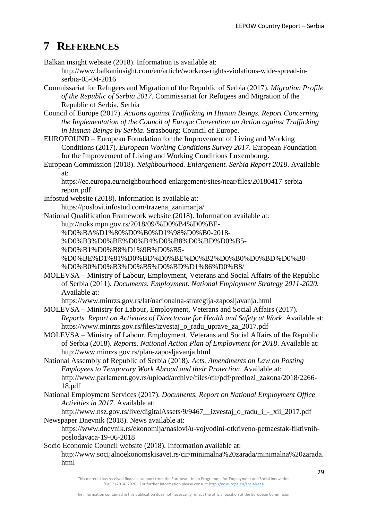# <span id="page-28-0"></span>**7 REFERENCES**

Balkan insight website (2018). Information is available at:

[http://www.balkaninsight.com/en/article/workers-rights-violations-wide-spread-in](http://www.balkaninsight.com/en/article/workers-rights-violations-wide-spread-in-serbia-05-04-2016)[serbia-05-04-2016](http://www.balkaninsight.com/en/article/workers-rights-violations-wide-spread-in-serbia-05-04-2016)

- Commissariat for Refugees and Migration of the Republic of Serbia (2017). *Migration Profile of the Republic of Serbia 2017*. Commissariat for Refugees and Migration of the Republic of Serbia, Serbia
- Council of Europe (2017). *Actions against Trafficking in Human Beings. Report Concerning the Implementation of the Council of Europe Convention on Action against Trafficking in Human Beings by Serbia*. Strasbourg: Council of Europe.
- EUROFOUND European Foundation for the Improvement of Living and Working Conditions (2017). *European Working Conditions Survey 2017*. European Foundation for the Improvement of Living and Working Conditions Luxembourg.
- European Commission (2018). *Neighbourhood. Enlargement. Serbia Report 2018*. Available at:

[https://ec.europa.eu/neighbourhood-enlargement/sites/near/files/20180417-serbia](https://ec.europa.eu/neighbourhood-enlargement/sites/near/files/20180417-serbia-report.pdf)[report.pdf](https://ec.europa.eu/neighbourhood-enlargement/sites/near/files/20180417-serbia-report.pdf)

Infostud website (2018). Information is available at:

[https://poslovi.infostud.com/trazena\\_zanimanja/](https://poslovi.infostud.com/trazena_zanimanja/)

- National Qualification Framework website (2018). Information available at:
	- [http://noks.mpn.gov.rs/2018/09/%D0%B4%D0%BE-](http://noks.mpn.gov.rs/2018/09/%D0%B4%D0%BE-%D0%BA%D1%80%D0%B0%D1%98%D0%B0-2018-%D0%B3%D0%BE%D0%B4%D0%B8%D0%BD%D0%B5-%D0%B1%D0%B8%D1%9B%D0%B5-%D0%BE%D1%81%D0%BD%D0%BE%D0%B2%D0%B0%D0%BD%D0%B0-%D0%B0%D0%B3%D0%B5%D0%BD%D1%86%D0%B8/)

[%D0%BA%D1%80%D0%B0%D1%98%D0%B0-2018-](http://noks.mpn.gov.rs/2018/09/%D0%B4%D0%BE-%D0%BA%D1%80%D0%B0%D1%98%D0%B0-2018-%D0%B3%D0%BE%D0%B4%D0%B8%D0%BD%D0%B5-%D0%B1%D0%B8%D1%9B%D0%B5-%D0%BE%D1%81%D0%BD%D0%BE%D0%B2%D0%B0%D0%BD%D0%B0-%D0%B0%D0%B3%D0%B5%D0%BD%D1%86%D0%B8/)

[%D0%B3%D0%BE%D0%B4%D0%B8%D0%BD%D0%B5-](http://noks.mpn.gov.rs/2018/09/%D0%B4%D0%BE-%D0%BA%D1%80%D0%B0%D1%98%D0%B0-2018-%D0%B3%D0%BE%D0%B4%D0%B8%D0%BD%D0%B5-%D0%B1%D0%B8%D1%9B%D0%B5-%D0%BE%D1%81%D0%BD%D0%BE%D0%B2%D0%B0%D0%BD%D0%B0-%D0%B0%D0%B3%D0%B5%D0%BD%D1%86%D0%B8/)

[%D0%B1%D0%B8%D1%9B%D0%B5-](http://noks.mpn.gov.rs/2018/09/%D0%B4%D0%BE-%D0%BA%D1%80%D0%B0%D1%98%D0%B0-2018-%D0%B3%D0%BE%D0%B4%D0%B8%D0%BD%D0%B5-%D0%B1%D0%B8%D1%9B%D0%B5-%D0%BE%D1%81%D0%BD%D0%BE%D0%B2%D0%B0%D0%BD%D0%B0-%D0%B0%D0%B3%D0%B5%D0%BD%D1%86%D0%B8/)

[%D0%BE%D1%81%D0%BD%D0%BE%D0%B2%D0%B0%D0%BD%D0%B0-](http://noks.mpn.gov.rs/2018/09/%D0%B4%D0%BE-%D0%BA%D1%80%D0%B0%D1%98%D0%B0-2018-%D0%B3%D0%BE%D0%B4%D0%B8%D0%BD%D0%B5-%D0%B1%D0%B8%D1%9B%D0%B5-%D0%BE%D1%81%D0%BD%D0%BE%D0%B2%D0%B0%D0%BD%D0%B0-%D0%B0%D0%B3%D0%B5%D0%BD%D1%86%D0%B8/) [%D0%B0%D0%B3%D0%B5%D0%BD%D1%86%D0%B8/](http://noks.mpn.gov.rs/2018/09/%D0%B4%D0%BE-%D0%BA%D1%80%D0%B0%D1%98%D0%B0-2018-%D0%B3%D0%BE%D0%B4%D0%B8%D0%BD%D0%B5-%D0%B1%D0%B8%D1%9B%D0%B5-%D0%BE%D1%81%D0%BD%D0%BE%D0%B2%D0%B0%D0%BD%D0%B0-%D0%B0%D0%B3%D0%B5%D0%BD%D1%86%D0%B8/)

MOLEVSA – [Ministry of Labour, Employment, Veterans and Social Affairs of the Republic](http://www.minrzs.gov.rs/)  [of Serbia](http://www.minrzs.gov.rs/) (2011). *Documents. Employment. National Employment Strategy 2011-2020*. Available at:

<https://www.minrzs.gov.rs/lat/nacionalna-strategija-zaposljavanja.html>

- MOLEVSA Ministry for Labour, Employment, Veterans and Social Affairs (2017). *Reports. Report on Activities of Directorate for Health and Safety at Work*. Available at: [https://www.minrzs.gov.rs/files/izvestaj\\_o\\_radu\\_uprave\\_za\\_2017.pdf](https://www.minrzs.gov.rs/files/izvestaj_o_radu_uprave_za_2017.pdf)
- MOLEVSA [Ministry of Labour, Employment, Veterans and Social Affairs of the Republic](http://www.minrzs.gov.rs/)  [of Serbia](http://www.minrzs.gov.rs/) (2018). *Reports. National Action Plan of Employment for 2018*. Available at: <http://www.minrzs.gov.rs/plan-zaposljavanja.html>
- National Assembly of Republic of Serbia (2018). *Acts. Amendments on Law on Posting Employees to Temporary Work Abroad and their Protection*. Available at: [http://www.parlament.gov.rs/upload/archive/files/cir/pdf/predlozi\\_zakona/2018/2266-](http://www.parlament.gov.rs/upload/archive/files/cir/pdf/predlozi_zakona/2018/2266-18.pdf) [18.pdf](http://www.parlament.gov.rs/upload/archive/files/cir/pdf/predlozi_zakona/2018/2266-18.pdf)
- National Employment Services (2017). *Documents. Report on National Employment Office Activities in 2017*. Available at:

[http://www.nsz.gov.rs/live/digitalAssets/9/9467\\_\\_izvestaj\\_o\\_radu\\_i\\_-\\_xii\\_2017.pdf](http://www.nsz.gov.rs/live/digitalAssets/9/9467__izvestaj_o_radu_i_-_xii_2017.pdf) Newspaper Dnevnik (2018). News available at:

- [https://www.dnevnik.rs/ekonomija/naslovi/u-vojvodini-otkriveno-petnaestak-fiktivnih](https://www.dnevnik.rs/ekonomija/naslovi/u-vojvodini-otkriveno-petnaestak-fiktivnih-poslodavaca-19-06-2018)[poslodavaca-19-06-2018](https://www.dnevnik.rs/ekonomija/naslovi/u-vojvodini-otkriveno-petnaestak-fiktivnih-poslodavaca-19-06-2018)
- Socio Economic Council website (2018). Information available at: [http://www.socijalnoekonomskisavet.rs/cir/minimalna%20zarada/minimalna%20zarada.](http://www.socijalnoekonomskisavet.rs/cir/minimalna%20zarada/minimalna%20zarada.html) [html](http://www.socijalnoekonomskisavet.rs/cir/minimalna%20zarada/minimalna%20zarada.html)

This material has received financial support from the European Union Programme for Employment and Social Innovation "EaSI" (2014- 2020). For further information please consult: <http://ec.europa.eu/social/easi>